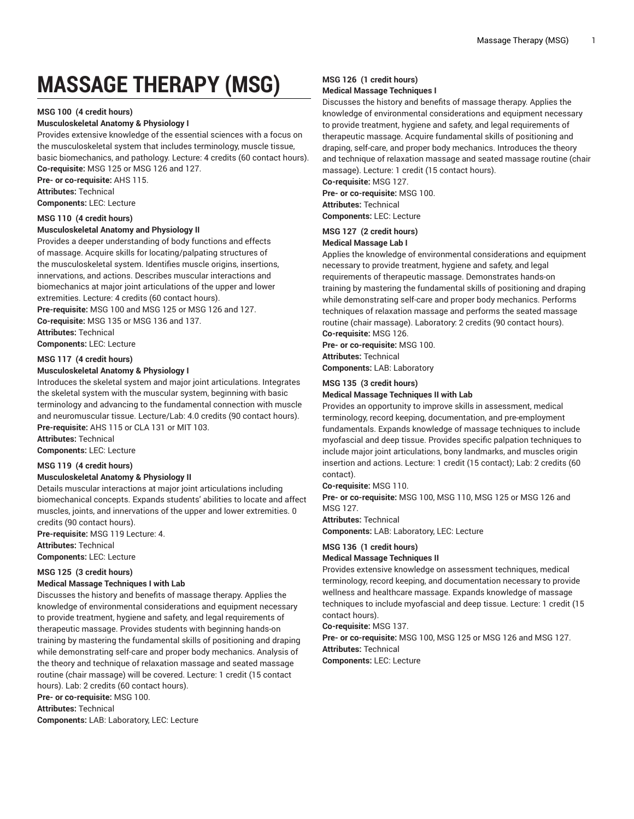# **MASSAGE THERAPY (MSG)**

#### **MSG 100 (4 credit hours)**

#### **Musculoskeletal Anatomy & Physiology I**

Provides extensive knowledge of the essential sciences with a focus on the musculoskeletal system that includes terminology, muscle tissue, basic biomechanics, and pathology. Lecture: 4 credits (60 contact hours). **Co-requisite:** MSG 125 or MSG 126 and 127.

**Pre- or co-requisite:** AHS 115.

**Attributes:** Technical

**Components:** LEC: Lecture

### **MSG 110 (4 credit hours)**

#### **Musculoskeletal Anatomy and Physiology II**

Provides a deeper understanding of body functions and effects of massage. Acquire skills for locating/palpating structures of the musculoskeletal system. Identifies muscle origins, insertions, innervations, and actions. Describes muscular interactions and biomechanics at major joint articulations of the upper and lower extremities. Lecture: 4 credits (60 contact hours).

**Pre-requisite:** MSG 100 and MSG 125 or MSG 126 and 127. **Co-requisite:** MSG 135 or MSG 136 and 137.

**Attributes:** Technical

**Components:** LEC: Lecture

#### **MSG 117 (4 credit hours)**

#### **Musculoskeletal Anatomy & Physiology I**

Introduces the skeletal system and major joint articulations. Integrates the skeletal system with the muscular system, beginning with basic terminology and advancing to the fundamental connection with muscle and neuromuscular tissue. Lecture/Lab: 4.0 credits (90 contact hours). **Pre-requisite:** AHS 115 or CLA 131 or MIT 103.

**Attributes:** Technical

**Components:** LEC: Lecture

#### **MSG 119 (4 credit hours)**

#### **Musculoskeletal Anatomy & Physiology II**

Details muscular interactions at major joint articulations including biomechanical concepts. Expands students' abilities to locate and affect muscles, joints, and innervations of the upper and lower extremities. 0 credits (90 contact hours).

**Pre-requisite:** MSG 119 Lecture: 4.

**Attributes:** Technical

**Components:** LEC: Lecture

# **MSG 125 (3 credit hours)**

# **Medical Massage Techniques I with Lab**

Discusses the history and benefits of massage therapy. Applies the knowledge of environmental considerations and equipment necessary to provide treatment, hygiene and safety, and legal requirements of therapeutic massage. Provides students with beginning hands-on training by mastering the fundamental skills of positioning and draping while demonstrating self-care and proper body mechanics. Analysis of the theory and technique of relaxation massage and seated massage routine (chair massage) will be covered. Lecture: 1 credit (15 contact hours). Lab: 2 credits (60 contact hours).

**Pre- or co-requisite:** MSG 100.

**Attributes:** Technical

**Components:** LAB: Laboratory, LEC: Lecture

# **MSG 126 (1 credit hours)**

## **Medical Massage Techniques I**

Discusses the history and benefits of massage therapy. Applies the knowledge of environmental considerations and equipment necessary to provide treatment, hygiene and safety, and legal requirements of therapeutic massage. Acquire fundamental skills of positioning and draping, self-care, and proper body mechanics. Introduces the theory and technique of relaxation massage and seated massage routine (chair massage). Lecture: 1 credit (15 contact hours). **Co-requisite:** MSG 127.

**Pre- or co-requisite:** MSG 100. **Attributes:** Technical

**Components:** LEC: Lecture

# **MSG 127 (2 credit hours)**

# **Medical Massage Lab I**

Applies the knowledge of environmental considerations and equipment necessary to provide treatment, hygiene and safety, and legal requirements of therapeutic massage. Demonstrates hands-on training by mastering the fundamental skills of positioning and draping while demonstrating self-care and proper body mechanics. Performs techniques of relaxation massage and performs the seated massage routine (chair massage). Laboratory: 2 credits (90 contact hours). **Co-requisite:** MSG 126.

**Pre- or co-requisite:** MSG 100. **Attributes:** Technical **Components:** LAB: Laboratory

**MSG 135 (3 credit hours)**

#### **Medical Massage Techniques II with Lab**

Provides an opportunity to improve skills in assessment, medical terminology, record keeping, documentation, and pre-employment fundamentals. Expands knowledge of massage techniques to include myofascial and deep tissue. Provides specific palpation techniques to include major joint articulations, bony landmarks, and muscles origin insertion and actions. Lecture: 1 credit (15 contact); Lab: 2 credits (60 contact).

**Co-requisite:** MSG 110.

**Pre- or co-requisite:** MSG 100, MSG 110, MSG 125 or MSG 126 and MSG 127.

**Attributes:** Technical

**Components:** LAB: Laboratory, LEC: Lecture

#### **MSG 136 (1 credit hours)**

#### **Medical Massage Techniques II**

Provides extensive knowledge on assessment techniques, medical terminology, record keeping, and documentation necessary to provide wellness and healthcare massage. Expands knowledge of massage techniques to include myofascial and deep tissue. Lecture: 1 credit (15 contact hours).

**Co-requisite:** MSG 137.

**Pre- or co-requisite:** MSG 100, MSG 125 or MSG 126 and MSG 127. **Attributes:** Technical

**Components:** LEC: Lecture